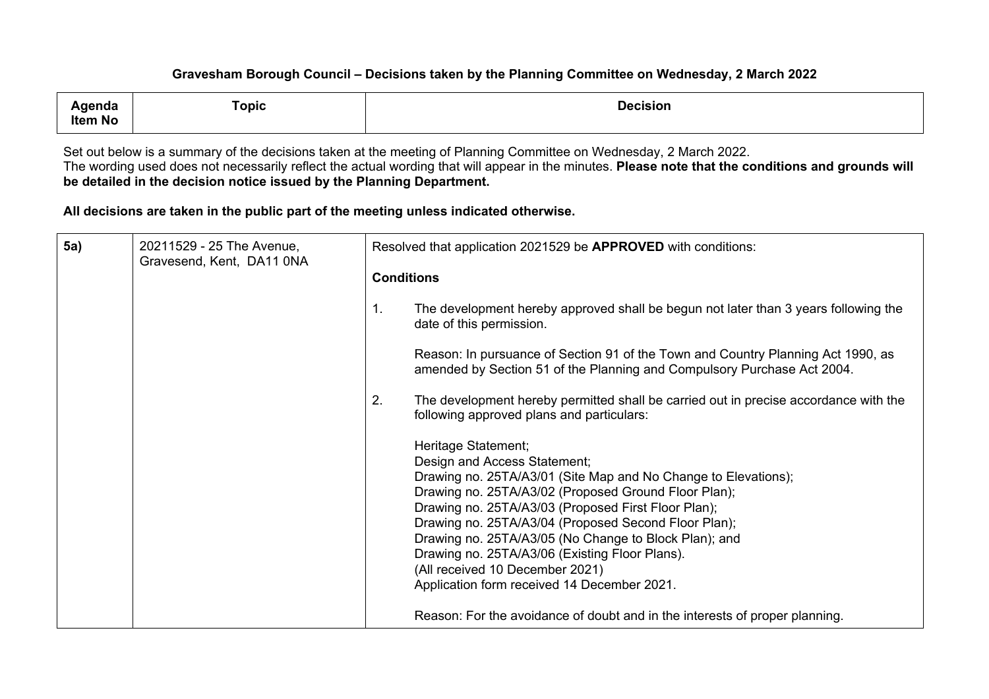| genda<br>Item No | ™opic | <b>Decision</b> |
|------------------|-------|-----------------|
|                  |       |                 |

Set out below is a summary of the decisions taken at the meeting of Planning Committee on Wednesday, 2 March 2022. The wording used does not necessarily reflect the actual wording that will appear in the minutes. **Please note that the conditions and grounds will be detailed in the decision notice issued by the Planning Department.**

**All decisions are taken in the public part of the meeting unless indicated otherwise.**

| <b>5a)</b> | 20211529 - 25 The Avenue,<br>Gravesend, Kent, DA11 0NA |                   | Resolved that application 2021529 be APPROVED with conditions:                                                                                                                                                                                                                                                                                                                                                                                                                            |
|------------|--------------------------------------------------------|-------------------|-------------------------------------------------------------------------------------------------------------------------------------------------------------------------------------------------------------------------------------------------------------------------------------------------------------------------------------------------------------------------------------------------------------------------------------------------------------------------------------------|
|            |                                                        | <b>Conditions</b> |                                                                                                                                                                                                                                                                                                                                                                                                                                                                                           |
|            |                                                        | 1.                | The development hereby approved shall be begun not later than 3 years following the<br>date of this permission.                                                                                                                                                                                                                                                                                                                                                                           |
|            |                                                        |                   | Reason: In pursuance of Section 91 of the Town and Country Planning Act 1990, as<br>amended by Section 51 of the Planning and Compulsory Purchase Act 2004.                                                                                                                                                                                                                                                                                                                               |
|            |                                                        | 2.                | The development hereby permitted shall be carried out in precise accordance with the<br>following approved plans and particulars:                                                                                                                                                                                                                                                                                                                                                         |
|            |                                                        |                   | Heritage Statement;<br>Design and Access Statement;<br>Drawing no. 25TA/A3/01 (Site Map and No Change to Elevations);<br>Drawing no. 25TA/A3/02 (Proposed Ground Floor Plan);<br>Drawing no. 25TA/A3/03 (Proposed First Floor Plan);<br>Drawing no. 25TA/A3/04 (Proposed Second Floor Plan);<br>Drawing no. 25TA/A3/05 (No Change to Block Plan); and<br>Drawing no. 25TA/A3/06 (Existing Floor Plans).<br>(All received 10 December 2021)<br>Application form received 14 December 2021. |
|            |                                                        |                   | Reason: For the avoidance of doubt and in the interests of proper planning.                                                                                                                                                                                                                                                                                                                                                                                                               |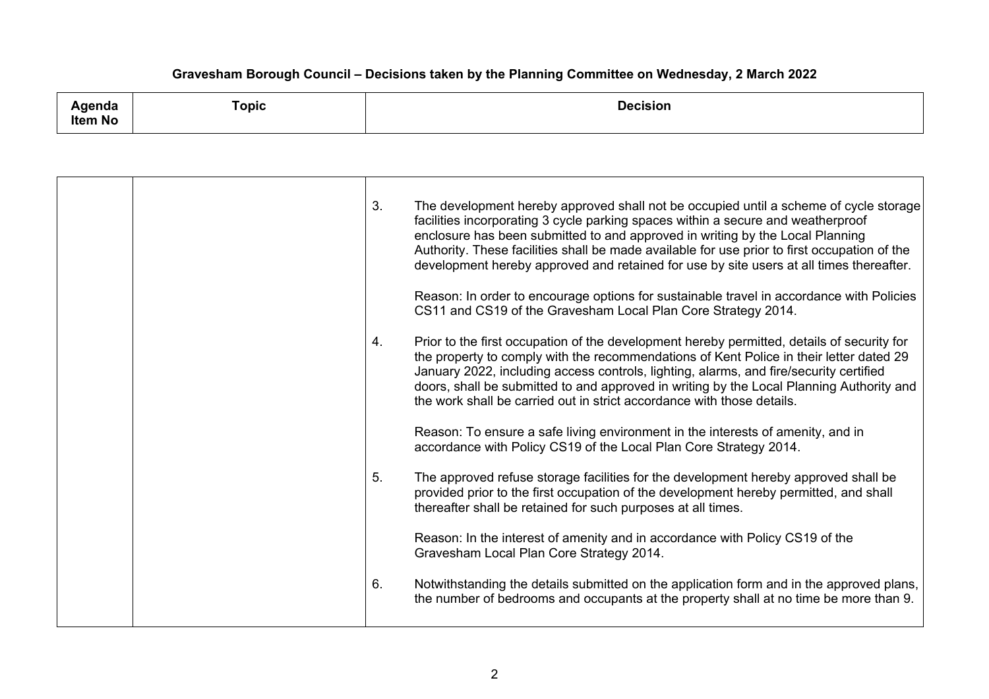| <b>\genda</b><br>$\sim$ $\sim$<br><b>Item No</b> | _<br>⊺opic | Decision |
|--------------------------------------------------|------------|----------|
|--------------------------------------------------|------------|----------|

| 3. | The development hereby approved shall not be occupied until a scheme of cycle storage<br>facilities incorporating 3 cycle parking spaces within a secure and weatherproof<br>enclosure has been submitted to and approved in writing by the Local Planning<br>Authority. These facilities shall be made available for use prior to first occupation of the<br>development hereby approved and retained for use by site users at all times thereafter. |
|----|-------------------------------------------------------------------------------------------------------------------------------------------------------------------------------------------------------------------------------------------------------------------------------------------------------------------------------------------------------------------------------------------------------------------------------------------------------|
|    | Reason: In order to encourage options for sustainable travel in accordance with Policies<br>CS11 and CS19 of the Gravesham Local Plan Core Strategy 2014.                                                                                                                                                                                                                                                                                             |
| 4. | Prior to the first occupation of the development hereby permitted, details of security for<br>the property to comply with the recommendations of Kent Police in their letter dated 29<br>January 2022, including access controls, lighting, alarms, and fire/security certified<br>doors, shall be submitted to and approved in writing by the Local Planning Authority and<br>the work shall be carried out in strict accordance with those details. |
|    | Reason: To ensure a safe living environment in the interests of amenity, and in<br>accordance with Policy CS19 of the Local Plan Core Strategy 2014.                                                                                                                                                                                                                                                                                                  |
| 5. | The approved refuse storage facilities for the development hereby approved shall be<br>provided prior to the first occupation of the development hereby permitted, and shall<br>thereafter shall be retained for such purposes at all times.                                                                                                                                                                                                          |
|    | Reason: In the interest of amenity and in accordance with Policy CS19 of the<br>Gravesham Local Plan Core Strategy 2014.                                                                                                                                                                                                                                                                                                                              |
| 6. | Notwithstanding the details submitted on the application form and in the approved plans,<br>the number of bedrooms and occupants at the property shall at no time be more than 9.                                                                                                                                                                                                                                                                     |
|    |                                                                                                                                                                                                                                                                                                                                                                                                                                                       |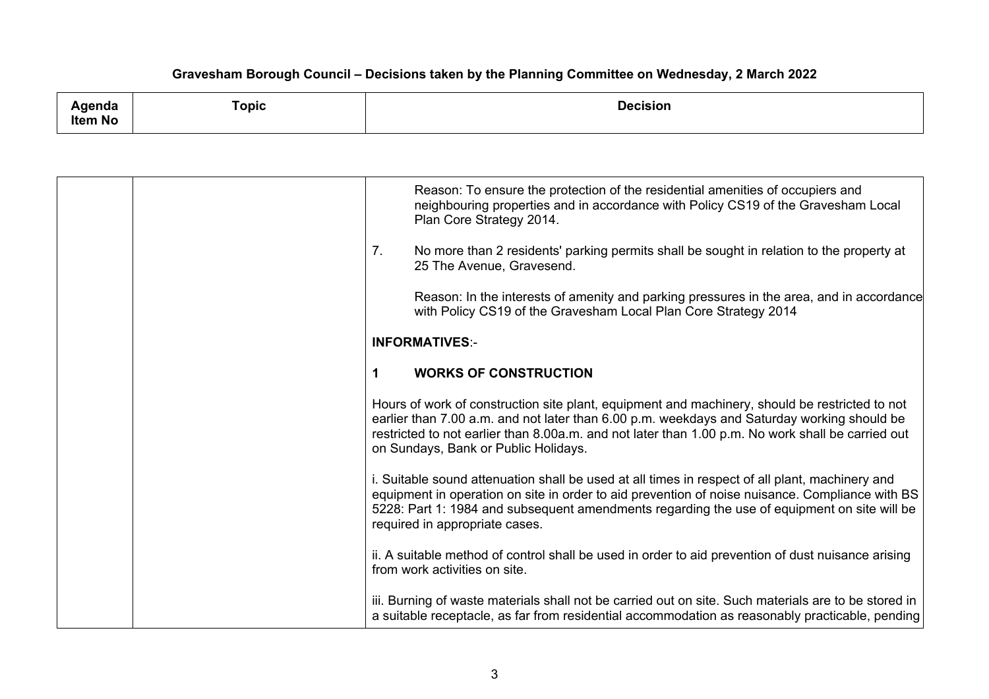| دامد مرحم<br>naa | `opic | <b>Decision</b><br>. |
|------------------|-------|----------------------|
| ltem No          |       |                      |

|  | Reason: To ensure the protection of the residential amenities of occupiers and<br>neighbouring properties and in accordance with Policy CS19 of the Gravesham Local<br>Plan Core Strategy 2014.                                                                                                                                            |
|--|--------------------------------------------------------------------------------------------------------------------------------------------------------------------------------------------------------------------------------------------------------------------------------------------------------------------------------------------|
|  | 7 <sub>1</sub><br>No more than 2 residents' parking permits shall be sought in relation to the property at<br>25 The Avenue, Gravesend.                                                                                                                                                                                                    |
|  | Reason: In the interests of amenity and parking pressures in the area, and in accordance<br>with Policy CS19 of the Gravesham Local Plan Core Strategy 2014                                                                                                                                                                                |
|  | <b>INFORMATIVES:-</b>                                                                                                                                                                                                                                                                                                                      |
|  | <b>WORKS OF CONSTRUCTION</b><br>1                                                                                                                                                                                                                                                                                                          |
|  | Hours of work of construction site plant, equipment and machinery, should be restricted to not<br>earlier than 7.00 a.m. and not later than 6.00 p.m. weekdays and Saturday working should be<br>restricted to not earlier than 8.00a.m. and not later than 1.00 p.m. No work shall be carried out<br>on Sundays, Bank or Public Holidays. |
|  | i. Suitable sound attenuation shall be used at all times in respect of all plant, machinery and<br>equipment in operation on site in order to aid prevention of noise nuisance. Compliance with BS<br>5228: Part 1: 1984 and subsequent amendments regarding the use of equipment on site will be<br>required in appropriate cases.        |
|  | ii. A suitable method of control shall be used in order to aid prevention of dust nuisance arising<br>from work activities on site.                                                                                                                                                                                                        |
|  | iii. Burning of waste materials shall not be carried out on site. Such materials are to be stored in<br>a suitable receptacle, as far from residential accommodation as reasonably practicable, pending                                                                                                                                    |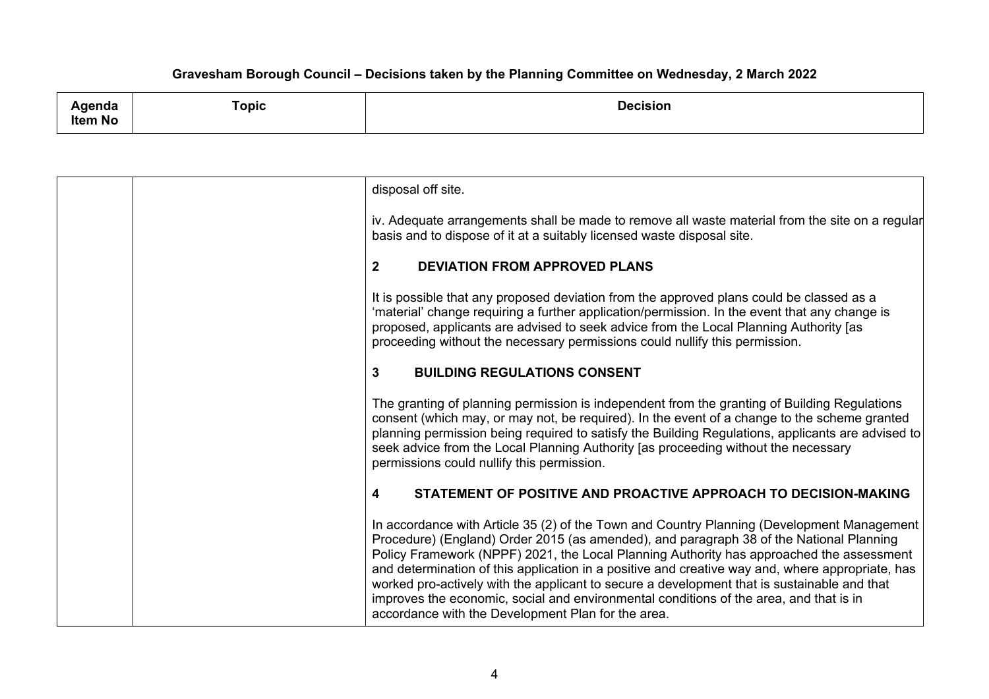| genda   | Topic | <b>Decision</b> |
|---------|-------|-----------------|
| Item No |       |                 |

| disposal off site.                                                                                                                                                                                                                                                                                                                                                                                                                                                                                                                                                                                                                   |
|--------------------------------------------------------------------------------------------------------------------------------------------------------------------------------------------------------------------------------------------------------------------------------------------------------------------------------------------------------------------------------------------------------------------------------------------------------------------------------------------------------------------------------------------------------------------------------------------------------------------------------------|
| iv. Adequate arrangements shall be made to remove all waste material from the site on a regular<br>basis and to dispose of it at a suitably licensed waste disposal site.                                                                                                                                                                                                                                                                                                                                                                                                                                                            |
| $\mathbf{2}$<br><b>DEVIATION FROM APPROVED PLANS</b>                                                                                                                                                                                                                                                                                                                                                                                                                                                                                                                                                                                 |
| It is possible that any proposed deviation from the approved plans could be classed as a<br>'material' change requiring a further application/permission. In the event that any change is<br>proposed, applicants are advised to seek advice from the Local Planning Authority [as<br>proceeding without the necessary permissions could nullify this permission.                                                                                                                                                                                                                                                                    |
| $\mathbf{3}$<br><b>BUILDING REGULATIONS CONSENT</b>                                                                                                                                                                                                                                                                                                                                                                                                                                                                                                                                                                                  |
| The granting of planning permission is independent from the granting of Building Regulations<br>consent (which may, or may not, be required). In the event of a change to the scheme granted<br>planning permission being required to satisfy the Building Regulations, applicants are advised to<br>seek advice from the Local Planning Authority [as proceeding without the necessary<br>permissions could nullify this permission.                                                                                                                                                                                                |
| $\overline{\mathbf{4}}$<br>STATEMENT OF POSITIVE AND PROACTIVE APPROACH TO DECISION-MAKING                                                                                                                                                                                                                                                                                                                                                                                                                                                                                                                                           |
| In accordance with Article 35 (2) of the Town and Country Planning (Development Management<br>Procedure) (England) Order 2015 (as amended), and paragraph 38 of the National Planning<br>Policy Framework (NPPF) 2021, the Local Planning Authority has approached the assessment<br>and determination of this application in a positive and creative way and, where appropriate, has<br>worked pro-actively with the applicant to secure a development that is sustainable and that<br>improves the economic, social and environmental conditions of the area, and that is in<br>accordance with the Development Plan for the area. |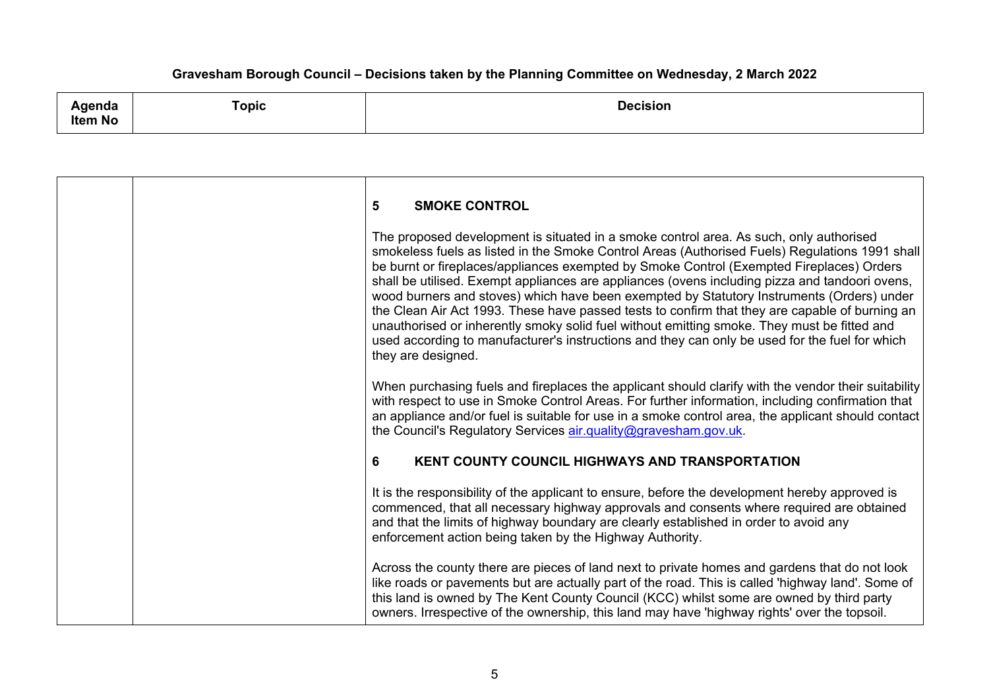**Agenda Item No Topic Decision**

| 5<br><b>SMOKE CONTROL</b>                                                                                                                                                                                                                                                                                                                                                                                                                                                                                                                                                                                                                                                                                                                                                                                    |
|--------------------------------------------------------------------------------------------------------------------------------------------------------------------------------------------------------------------------------------------------------------------------------------------------------------------------------------------------------------------------------------------------------------------------------------------------------------------------------------------------------------------------------------------------------------------------------------------------------------------------------------------------------------------------------------------------------------------------------------------------------------------------------------------------------------|
| The proposed development is situated in a smoke control area. As such, only authorised<br>smokeless fuels as listed in the Smoke Control Areas (Authorised Fuels) Regulations 1991 shall<br>be burnt or fireplaces/appliances exempted by Smoke Control (Exempted Fireplaces) Orders<br>shall be utilised. Exempt appliances are appliances (ovens including pizza and tandoori ovens,<br>wood burners and stoves) which have been exempted by Statutory Instruments (Orders) under<br>the Clean Air Act 1993. These have passed tests to confirm that they are capable of burning an<br>unauthorised or inherently smoky solid fuel without emitting smoke. They must be fitted and<br>used according to manufacturer's instructions and they can only be used for the fuel for which<br>they are designed. |
| When purchasing fuels and fireplaces the applicant should clarify with the vendor their suitability<br>with respect to use in Smoke Control Areas. For further information, including confirmation that<br>an appliance and/or fuel is suitable for use in a smoke control area, the applicant should contact<br>the Council's Regulatory Services air.quality@gravesham.gov.uk.                                                                                                                                                                                                                                                                                                                                                                                                                             |
| 6<br><b>KENT COUNTY COUNCIL HIGHWAYS AND TRANSPORTATION</b>                                                                                                                                                                                                                                                                                                                                                                                                                                                                                                                                                                                                                                                                                                                                                  |
| It is the responsibility of the applicant to ensure, before the development hereby approved is<br>commenced, that all necessary highway approvals and consents where required are obtained<br>and that the limits of highway boundary are clearly established in order to avoid any<br>enforcement action being taken by the Highway Authority.                                                                                                                                                                                                                                                                                                                                                                                                                                                              |
| Across the county there are pieces of land next to private homes and gardens that do not look<br>like roads or pavements but are actually part of the road. This is called 'highway land'. Some of<br>this land is owned by The Kent County Council (KCC) whilst some are owned by third party<br>owners. Irrespective of the ownership, this land may have 'highway rights' over the topsoil.                                                                                                                                                                                                                                                                                                                                                                                                               |